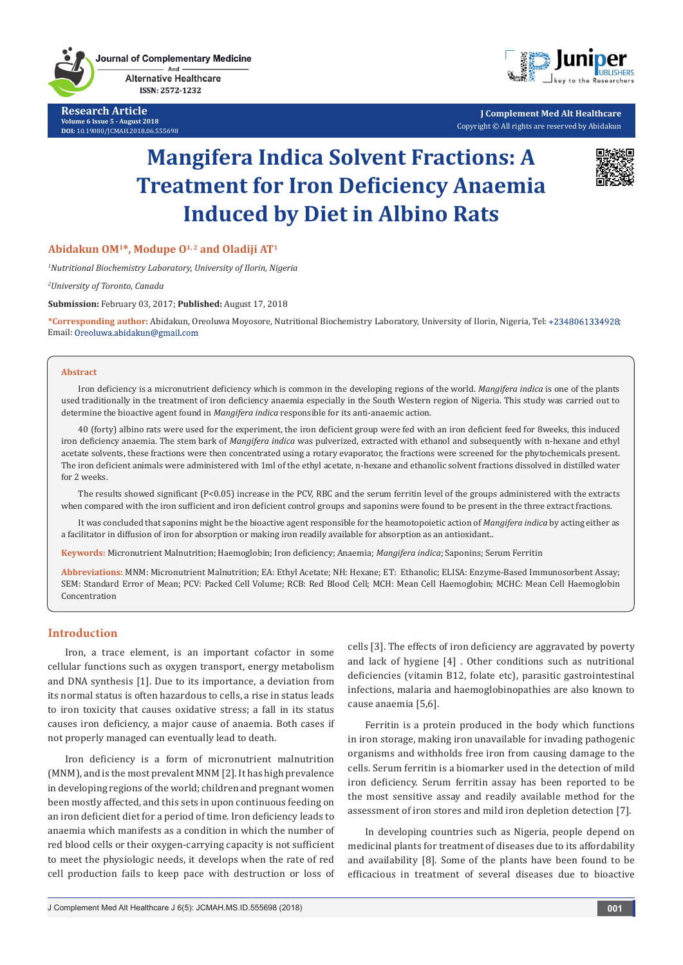**Journal of Complementary Medicine** And

**Alternative Healthcare** ISSN: 2572-1232

**Research Article Volume 6 Issue 5 - August 2018 DOI:** [10.19080/JCMAH.2018.06.555698](http://dx.doi.org/10.19080/JCMAH.2018.06.555698)



**J Complement Med Alt Healthcare** Copyright © All rights are reserved by Abidakun

# **Mangifera Indica Solvent Fractions: A Treatment for Iron Deficiency Anaemia Induced by Diet in Albino Rats**



# **Abidakun OM1\*, Modupe O1, 2 and Oladiji AT1**

*1 Nutritional Biochemistry Laboratory, University of Ilorin, Nigeria*

*2 University of Toronto, Canada*

**Submission:** February 03, 2017; **Published:** August 17, 2018

**\*Corresponding author:** Abidakun, Oreoluwa Moyosore, Nutritional Biochemistry Laboratory, University of Ilorin, Nigeria, Tel: ; Email: Oreoluwa.abidakun@gmail.com

#### **Abstract**

Iron deficiency is a micronutrient deficiency which is common in the developing regions of the world. *Mangifera indica* is one of the plants used traditionally in the treatment of iron deficiency anaemia especially in the South Western region of Nigeria. This study was carried out to determine the bioactive agent found in *Mangifera indica* responsible for its anti-anaemic action.

40 (forty) albino rats were used for the experiment, the iron deficient group were fed with an iron deficient feed for 8weeks, this induced iron deficiency anaemia. The stem bark of *Mangifera indica* was pulverized, extracted with ethanol and subsequently with n-hexane and ethyl acetate solvents, these fractions were then concentrated using a rotary evaporator, the fractions were screened for the phytochemicals present. The iron deficient animals were administered with 1ml of the ethyl acetate, n-hexane and ethanolic solvent fractions dissolved in distilled water for 2 weeks.

The results showed significant (P<0.05) increase in the PCV, RBC and the serum ferritin level of the groups administered with the extracts when compared with the iron sufficient and iron deficient control groups and saponins were found to be present in the three extract fractions.

It was concluded that saponins might be the bioactive agent responsible for the heamotopoietic action of *Mangifera indica* by acting either as a facilitator in diffusion of iron for absorption or making iron readily available for absorption as an antioxidant..

**Keywords:** Micronutrient Malnutrition; Haemoglobin; Iron deficiency; Anaemia; *Mangifera indica*; Saponins; Serum Ferritin

**Abbreviations:** MNM: Micronutrient Malnutrition; EA: Ethyl Acetate; NH: Hexane; ET: Ethanolic; ELISA: Enzyme-Based Immunosorbent Assay; SEM: Standard Error of Mean; PCV: Packed Cell Volume; RCB: Red Blood Cell; MCH: Mean Cell Haemoglobin; MCHC: Mean Cell Haemoglobin Concentration

## **Introduction**

Iron, a trace element, is an important cofactor in some cellular functions such as oxygen transport, energy metabolism and DNA synthesis [1]. Due to its importance, a deviation from its normal status is often hazardous to cells, a rise in status leads to iron toxicity that causes oxidative stress; a fall in its status causes iron deficiency, a major cause of anaemia. Both cases if not properly managed can eventually lead to death.

Iron deficiency is a form of micronutrient malnutrition (MNM), and is the most prevalent MNM [2]. It has high prevalence in developing regions of the world; children and pregnant women been mostly affected, and this sets in upon continuous feeding on an iron deficient diet for a period of time. Iron deficiency leads to anaemia which manifests as a condition in which the number of red blood cells or their oxygen-carrying capacity is not sufficient to meet the physiologic needs, it develops when the rate of red cell production fails to keep pace with destruction or loss of cells [3]. The effects of iron deficiency are aggravated by poverty and lack of hygiene [4] . Other conditions such as nutritional deficiencies (vitamin B12, folate etc), parasitic gastrointestinal infections, malaria and haemoglobinopathies are also known to cause anaemia [5,6].

Ferritin is a protein produced in the body which functions in iron storage, making iron unavailable for invading pathogenic organisms and withholds free iron from causing damage to the cells. Serum ferritin is a biomarker used in the detection of mild iron deficiency. Serum ferritin assay has been reported to be the most sensitive assay and readily available method for the assessment of iron stores and mild iron depletion detection [7].

In developing countries such as Nigeria, people depend on medicinal plants for treatment of diseases due to its affordability and availability [8]. Some of the plants have been found to be efficacious in treatment of several diseases due to bioactive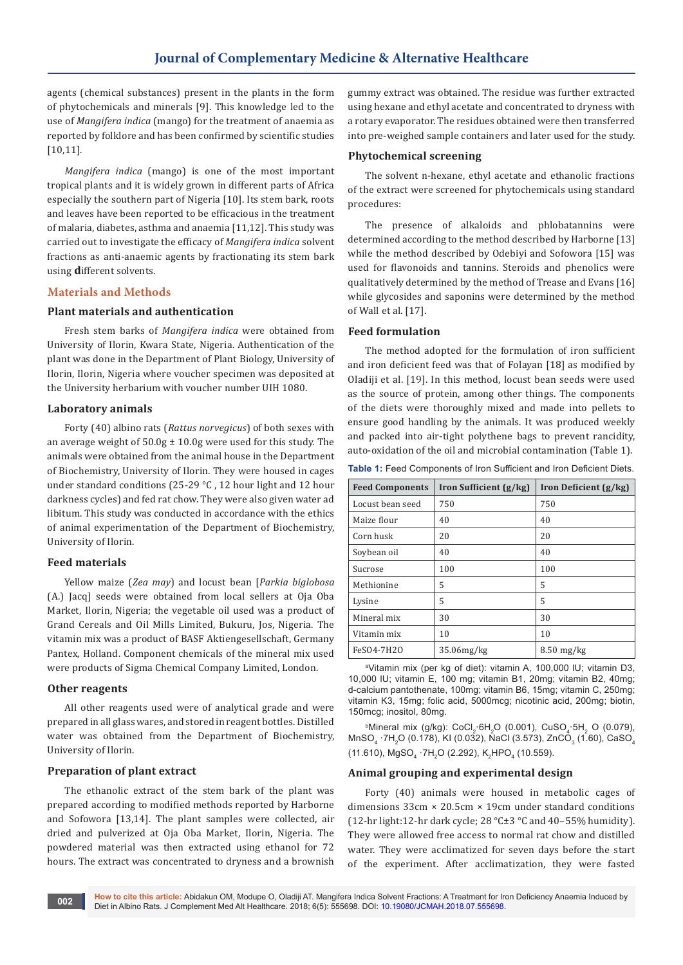agents (chemical substances) present in the plants in the form of phytochemicals and minerals [9]. This knowledge led to the use of *Mangifera indica* (mango) for the treatment of anaemia as reported by folklore and has been confirmed by scientific studies [10,11].

*Mangifera indica* (mango) is one of the most important tropical plants and it is widely grown in different parts of Africa especially the southern part of Nigeria [10]. Its stem bark, roots and leaves have been reported to be efficacious in the treatment of malaria, diabetes, asthma and anaemia [11,12]. This study was carried out to investigate the efficacy of *Mangifera indica* solvent fractions as anti-anaemic agents by fractionating its stem bark using **d**ifferent solvents.

# **Materials and Methods**

#### **Plant materials and authentication**

Fresh stem barks of *Mangifera indica* were obtained from University of Ilorin, Kwara State, Nigeria. Authentication of the plant was done in the Department of Plant Biology, University of Ilorin, Ilorin, Nigeria where voucher specimen was deposited at the University herbarium with voucher number UIH 1080.

## **Laboratory animals**

Forty (40) albino rats (*Rattus norvegicus*) of both sexes with an average weight of  $50.0g \pm 10.0g$  were used for this study. The animals were obtained from the animal house in the Department of Biochemistry, University of Ilorin. They were housed in cages under standard conditions (25-29 °C, 12 hour light and 12 hour darkness cycles) and fed rat chow. They were also given water ad libitum. This study was conducted in accordance with the ethics of animal experimentation of the Department of Biochemistry, University of Ilorin.

### **Feed materials**

Yellow maize (*Zea may*) and locust bean [*Parkia biglobosa*  (A.) Jacq] seeds were obtained from local sellers at Oja Oba Market, Ilorin, Nigeria; the vegetable oil used was a product of Grand Cereals and Oil Mills Limited, Bukuru, Jos, Nigeria. The vitamin mix was a product of BASF Aktiengesellschaft, Germany Pantex, Holland. Component chemicals of the mineral mix used were products of Sigma Chemical Company Limited, London.

#### **Other reagents**

All other reagents used were of analytical grade and were prepared in all glass wares, and stored in reagent bottles. Distilled water was obtained from the Department of Biochemistry, University of Ilorin.

# **Preparation of plant extract**

The ethanolic extract of the stem bark of the plant was prepared according to modified methods reported by Harborne and Sofowora [13,14]. The plant samples were collected, air dried and pulverized at Oja Oba Market, Ilorin, Nigeria. The powdered material was then extracted using ethanol for 72 hours. The extract was concentrated to dryness and a brownish

gummy extract was obtained. The residue was further extracted using hexane and ethyl acetate and concentrated to dryness with a rotary evaporator. The residues obtained were then transferred into pre-weighed sample containers and later used for the study.

## **Phytochemical screening**

The solvent n-hexane, ethyl acetate and ethanolic fractions of the extract were screened for phytochemicals using standard procedures:

The presence of alkaloids and phlobatannins were determined according to the method described by Harborne [13] while the method described by Odebiyi and Sofowora [15] was used for flavonoids and tannins. Steroids and phenolics were qualitatively determined by the method of Trease and Evans [16] while glycosides and saponins were determined by the method of Wall et al. [17].

# **Feed formulation**

The method adopted for the formulation of iron sufficient and iron deficient feed was that of Folayan [18] as modified by Oladiji et al. [19]. In this method, locust bean seeds were used as the source of protein, among other things. The components of the diets were thoroughly mixed and made into pellets to ensure good handling by the animals. It was produced weekly and packed into air-tight polythene bags to prevent rancidity, auto-oxidation of the oil and microbial contamination (Table 1).

**Table 1:** Feed Components of Iron Sufficient and Iron Deficient Diets.

| <b>Feed Components</b> | Iron Sufficient $(g/kg)$ | Iron Deficient $(g/kg)$ |  |
|------------------------|--------------------------|-------------------------|--|
| Locust bean seed       | 750                      | 750                     |  |
| Maize flour            | 40                       | 40                      |  |
| Corn husk              | 20                       | 20                      |  |
| Soybean oil            | 40                       | 40                      |  |
| Sucrose                | 100                      | 100                     |  |
| Methionine             | 5                        | 5                       |  |
| Lysine                 | 5                        | 5                       |  |
| Mineral mix            | 30                       | 30                      |  |
| Vitamin mix            | 10                       | 10                      |  |
| FeSO4.7H2O             | 35.06mg/kg               | $8.50$ mg/kg            |  |

a Vitamin mix (per kg of diet): vitamin A, 100,000 lU; vitamin D3, 10,000 lU; vitamin E, 100 mg; vitamin B1, 20mg; vitamin B2, 40mg; d-calcium pantothenate, 100mg; vitamin B6, 15mg; vitamin C, 250mg; vitamin K3, 15mg; folic acid, 5000mcg; nicotinic acid, 200mg; biotin, 150mcg; inositol, 80mg.

 $^{\circ}$ Mineral mix (g/kg): CoCl<sub>2</sub>·6H<sub>2</sub>O (0.001), CuSO<sub>4</sub>·5H<sub>2</sub> O (0.079), MnSO $_4$  ·7H $_2$ O (0.178), KI (0.032), NaCl (3.573), ZnCO $_3$  (1.60), CaSO $_4$  $(11.610)$ , MgSO<sub>4</sub> ·7H<sub>2</sub>O (2.292), K<sub>2</sub>HPO<sub>4</sub> (10.559).

#### **Animal grouping and experimental design**

Forty (40) animals were housed in metabolic cages of dimensions 33cm × 20.5cm × 19cm under standard conditions (12-hr light:12-hr dark cycle; 28 °C±3 °C and 40–55% humidity). They were allowed free access to normal rat chow and distilled water. They were acclimatized for seven days before the start of the experiment. After acclimatization, they were fasted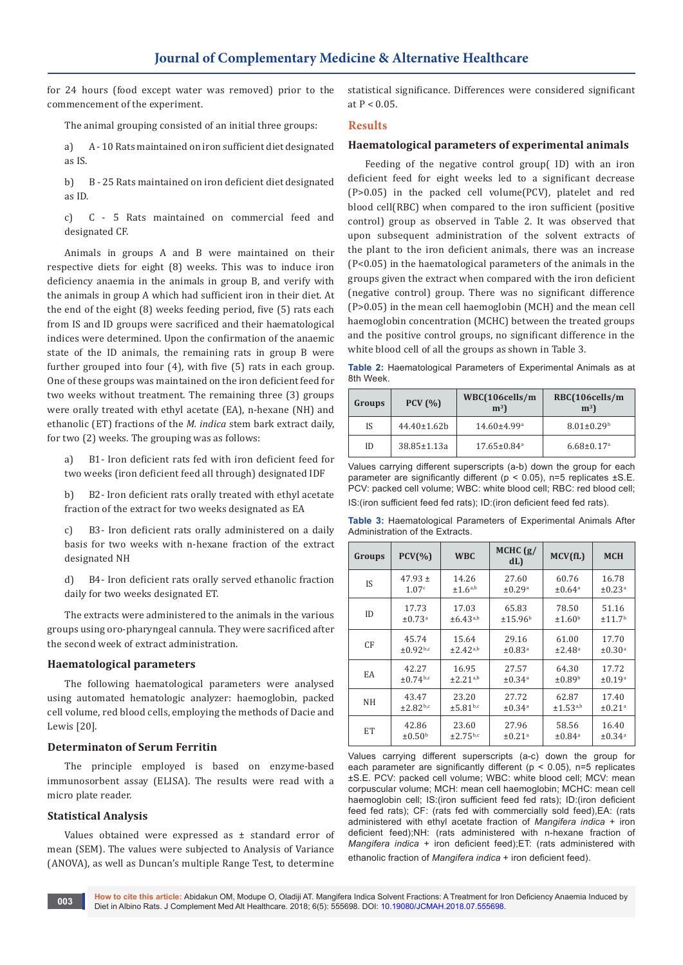for 24 hours (food except water was removed) prior to the commencement of the experiment.

The animal grouping consisted of an initial three groups:

a) A - 10 Rats maintained on iron sufficient diet designated as IS.

b) B - 25 Rats maintained on iron deficient diet designated as ID.

c) C - 5 Rats maintained on commercial feed and designated CF.

Animals in groups A and B were maintained on their respective diets for eight (8) weeks. This was to induce iron deficiency anaemia in the animals in group B, and verify with the animals in group A which had sufficient iron in their diet. At the end of the eight (8) weeks feeding period, five (5) rats each from IS and ID groups were sacrificed and their haematological indices were determined. Upon the confirmation of the anaemic state of the ID animals, the remaining rats in group B were further grouped into four (4), with five (5) rats in each group. One of these groups was maintained on the iron deficient feed for two weeks without treatment. The remaining three (3) groups were orally treated with ethyl acetate (EA), n-hexane (NH) and ethanolic (ET) fractions of the *M. indica* stem bark extract daily, for two (2) weeks. The grouping was as follows:

a) B1- Iron deficient rats fed with iron deficient feed for two weeks (iron deficient feed all through) designated IDF

b) B2- Iron deficient rats orally treated with ethyl acetate fraction of the extract for two weeks designated as EA

c) B3- Iron deficient rats orally administered on a daily basis for two weeks with n-hexane fraction of the extract designated NH

d) B4- Iron deficient rats orally served ethanolic fraction daily for two weeks designated ET.

The extracts were administered to the animals in the various groups using oro-pharyngeal cannula. They were sacrificed after the second week of extract administration.

#### **Haematological parameters**

The following haematological parameters were analysed using automated hematologic analyzer: haemoglobin, packed cell volume, red blood cells, employing the methods of Dacie and Lewis [20].

## **Determinaton of Serum Ferritin**

The principle employed is based on enzyme-based immunosorbent assay (ELISA). The results were read with a micro plate reader.

#### **Statistical Analysis**

Values obtained were expressed as ± standard error of mean (SEM). The values were subjected to Analysis of Variance (ANOVA), as well as Duncan's multiple Range Test, to determine

statistical significance. Differences were considered significant at  $P < 0.05$ .

#### **Results**

## **Haematological parameters of experimental animals**

Feeding of the negative control group( ID) with an iron deficient feed for eight weeks led to a significant decrease (P>0.05) in the packed cell volume(PCV), platelet and red blood cell(RBC) when compared to the iron sufficient (positive control) group as observed in Table 2. It was observed that upon subsequent administration of the solvent extracts of the plant to the iron deficient animals, there was an increase (P<0.05) in the haematological parameters of the animals in the groups given the extract when compared with the iron deficient (negative control) group. There was no significant difference (P>0.05) in the mean cell haemoglobin (MCH) and the mean cell haemoglobin concentration (MCHC) between the treated groups and the positive control groups, no significant difference in the white blood cell of all the groups as shown in Table 3.

**Table 2:** Haematological Parameters of Experimental Animals as at 8th Week.

| Groups | PCV(%)            | WBC(106cells/m<br>m <sup>3</sup> | RBC(106cells/m<br>m <sup>3</sup> |
|--------|-------------------|----------------------------------|----------------------------------|
| IS     | 44.40±1.62b       | 14.60±4.99 <sup>a</sup>          | $8.01 \pm 0.29$ <sup>b</sup>     |
| ID     | $38.85 \pm 1.13a$ | $17.65 \pm 0.84$ <sup>a</sup>    | $6.68 \pm 0.17$ <sup>a</sup>     |

Values carrying different superscripts (a-b) down the group for each parameter are significantly different ( $p < 0.05$ ), n=5 replicates  $\pm$ S.E. PCV: packed cell volume; WBC: white blood cell; RBC: red blood cell; IS:(iron sufficient feed fed rats); ID:(iron deficient feed fed rats).

**Table 3:** Haematological Parameters of Experimental Animals After Administration of the Extracts.

| Groups | $PCV(\%)$                 | <b>WBC</b>             | MCHC $(g)$<br>dL)       | MCV(fL)                 | <b>MCH</b>              |
|--------|---------------------------|------------------------|-------------------------|-------------------------|-------------------------|
| IS     | $47.93 \pm$               | 14.26                  | 27.60                   | 60.76                   | 16.78                   |
|        | 1.07c                     | $\pm 1.6^{a,b}$        | ±0.29a                  | $\pm 0.64$ <sup>a</sup> | $\pm 0.23$ <sup>a</sup> |
| ID     | 17.73                     | 17.03                  | 65.83                   | 78.50                   | 51.16                   |
|        | ±0.73 <sup>a</sup>        | $±6.43^{a,b}$          | ±15.96 <sup>b</sup>     | ±1.60 <sup>b</sup>      | ±11.7 <sup>b</sup>      |
| CF     | 45.74                     | 15.64                  | 29.16                   | 61.00                   | 17.70                   |
|        | ±0.92 <sup>b,c</sup>      | ±2.42 <sup>a,b</sup>   | ±0.83 <sup>a</sup>      | ±2.48 <sup>a</sup>      | ±0.30 <sup>a</sup>      |
| EA     | 42.27                     | 16.95                  | 27.57                   | 64.30                   | 17.72                   |
|        | $\pm$ 0.74 <sup>b,c</sup> | ±2.21 <sup>a,b</sup>   | $\pm 0.34$ <sup>a</sup> | ±0.89 <sup>b</sup>      | ±0.19a                  |
| NH     | 43.47                     | 23.20                  | 27.72                   | 62.87                   | 17.40                   |
|        | ±2.82 <sup>b,c</sup>      | ±5.81 <sup>b,c</sup>   | $\pm 0.34$ <sup>a</sup> | ±1.53 <sup>a,b</sup>    | ±0.21 <sup>a</sup>      |
| ET     | 42.86                     | 23.60                  | 27.96                   | 58.56                   | 16.40                   |
|        | $\pm 0.50^{\rm b}$        | $±2.75$ <sub>b,c</sub> | ±0.21 <sup>a</sup>      | $\pm 0.84$ <sup>a</sup> | $\pm 0.34$ <sup>a</sup> |

Values carrying different superscripts (a-c) down the group for each parameter are significantly different ( $p < 0.05$ ), n=5 replicates ±S.E. PCV: packed cell volume; WBC: white blood cell; MCV: mean corpuscular volume; MCH: mean cell haemoglobin; MCHC: mean cell haemoglobin cell; IS:(iron sufficient feed fed rats); ID:(iron deficient feed fed rats); CF: (rats fed with commercially sold feed),EA: (rats administered with ethyl acetate fraction of *Mangifera indica* + iron deficient feed);NH: (rats administered with n-hexane fraction of *Mangifera indica* + iron deficient feed);ET: (rats administered with ethanolic fraction of *Mangifera indica* + iron deficient feed).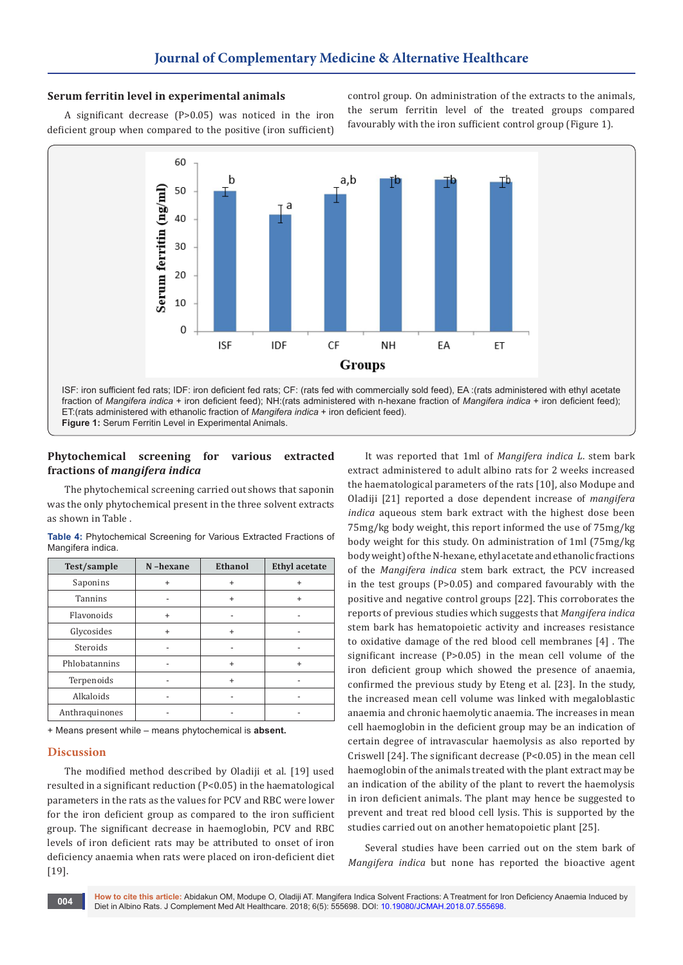## **Serum ferritin level in experimental animals**

A significant decrease (P>0.05) was noticed in the iron deficient group when compared to the positive (iron sufficient) control group. On administration of the extracts to the animals, the serum ferritin level of the treated groups compared favourably with the iron sufficient control group (Figure 1).



ET:(rats administered with ethanolic fraction of *Mangifera indica* + iron deficient feed).

**Figure 1:** Serum Ferritin Level in Experimental Animals.

## **Phytochemical screening for various extracted fractions of** *mangifera indica*

The phytochemical screening carried out shows that saponin was the only phytochemical present in the three solvent extracts as shown in Table .

| Table 4: Phytochemical Screening for Various Extracted Fractions of |  |  |  |
|---------------------------------------------------------------------|--|--|--|
| Mangifera indica.                                                   |  |  |  |

| Test/sample    | N-hexane  | <b>Ethanol</b> | <b>Ethyl</b> acetate |
|----------------|-----------|----------------|----------------------|
| Saponins       | $\ddot{}$ | $\ddot{}$      |                      |
| <b>Tannins</b> |           | $\ddot{}$      | $\ddot{}$            |
| Flavonoids     | $\ddot{}$ |                |                      |
| Glycosides     | $\ddot{}$ | $\ddot{}$      |                      |
| Steroids       |           |                |                      |
| Phlobatannins  |           | $\ddot{}$      | $\ddot{}$            |
| Terpenoids     |           | $\ddot{}$      |                      |
| Alkaloids      |           |                |                      |
| Anthraquinones |           |                |                      |

+ Means present while – means phytochemical is **absent.**

#### **Discussion**

The modified method described by Oladiji et al. [19] used resulted in a significant reduction (P<0.05) in the haematological parameters in the rats as the values for PCV and RBC were lower for the iron deficient group as compared to the iron sufficient group. The significant decrease in haemoglobin, PCV and RBC levels of iron deficient rats may be attributed to onset of iron deficiency anaemia when rats were placed on iron-deficient diet [19].

It was reported that 1ml of *Mangifera indica L*. stem bark extract administered to adult albino rats for 2 weeks increased the haematological parameters of the rats [10], also Modupe and Oladiji [21] reported a dose dependent increase of *mangifera indica* aqueous stem bark extract with the highest dose been 75mg/kg body weight, this report informed the use of 75mg/kg body weight for this study. On administration of 1ml (75mg/kg body weight) of the N-hexane, ethyl acetate and ethanolic fractions of the *Mangifera indica* stem bark extract, the PCV increased in the test groups (P>0.05) and compared favourably with the positive and negative control groups [22]. This corroborates the reports of previous studies which suggests that *Mangifera indica* stem bark has hematopoietic activity and increases resistance to oxidative damage of the red blood cell membranes [4] . The significant increase (P>0.05) in the mean cell volume of the iron deficient group which showed the presence of anaemia, confirmed the previous study by Eteng et al. [23]. In the study, the increased mean cell volume was linked with megaloblastic anaemia and chronic haemolytic anaemia. The increases in mean cell haemoglobin in the deficient group may be an indication of certain degree of intravascular haemolysis as also reported by Criswell [24]. The significant decrease (P<0.05) in the mean cell haemoglobin of the animals treated with the plant extract may be an indication of the ability of the plant to revert the haemolysis in iron deficient animals. The plant may hence be suggested to prevent and treat red blood cell lysis. This is supported by the studies carried out on another hematopoietic plant [25].

Several studies have been carried out on the stem bark of *Mangifera indica* but none has reported the bioactive agent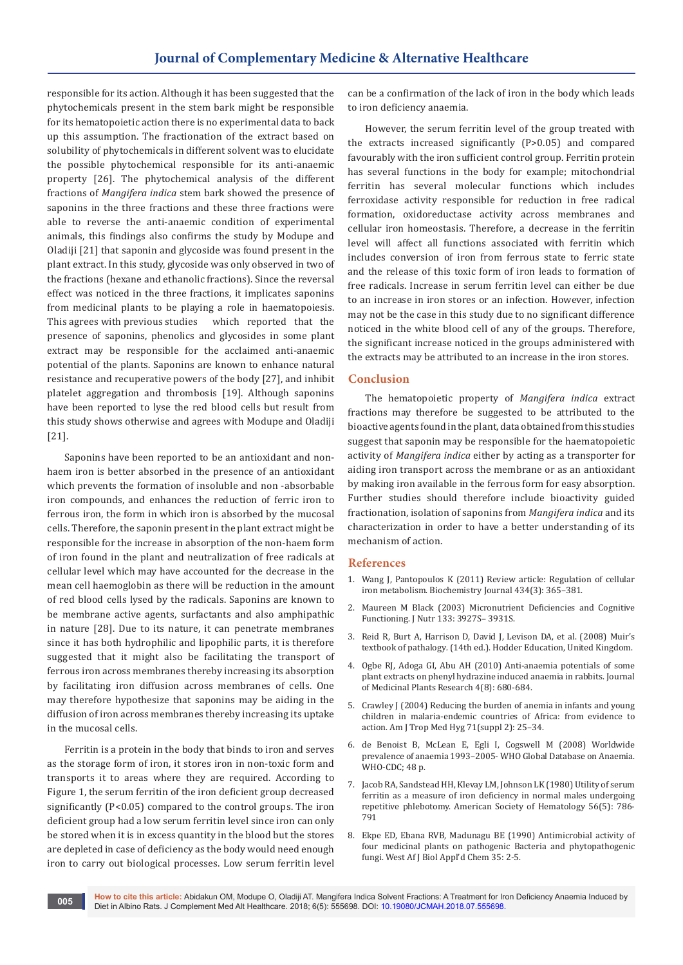responsible for its action. Although it has been suggested that the phytochemicals present in the stem bark might be responsible for its hematopoietic action there is no experimental data to back up this assumption. The fractionation of the extract based on solubility of phytochemicals in different solvent was to elucidate the possible phytochemical responsible for its anti-anaemic property [26]. The phytochemical analysis of the different fractions of *Mangifera indica* stem bark showed the presence of saponins in the three fractions and these three fractions were able to reverse the anti-anaemic condition of experimental animals, this findings also confirms the study by Modupe and Oladiji [21] that saponin and glycoside was found present in the plant extract. In this study, glycoside was only observed in two of the fractions (hexane and ethanolic fractions). Since the reversal effect was noticed in the three fractions, it implicates saponins from medicinal plants to be playing a role in haematopoiesis. This agrees with previous studies which reported that the presence of saponins, phenolics and glycosides in some plant extract may be responsible for the acclaimed anti-anaemic potential of the plants. Saponins are known to enhance natural resistance and recuperative powers of the body [27], and inhibit platelet aggregation and thrombosis [19]. Although saponins have been reported to lyse the red blood cells but result from this study shows otherwise and agrees with Modupe and Oladiji [21].

Saponins have been reported to be an antioxidant and nonhaem iron is better absorbed in the presence of an antioxidant which prevents the formation of insoluble and non -absorbable iron compounds, and enhances the reduction of ferric iron to ferrous iron, the form in which iron is absorbed by the mucosal cells. Therefore, the saponin present in the plant extract might be responsible for the increase in absorption of the non-haem form of iron found in the plant and neutralization of free radicals at cellular level which may have accounted for the decrease in the mean cell haemoglobin as there will be reduction in the amount of red blood cells lysed by the radicals. Saponins are known to be membrane active agents, surfactants and also amphipathic in nature [28]. Due to its nature, it can penetrate membranes since it has both hydrophilic and lipophilic parts, it is therefore suggested that it might also be facilitating the transport of ferrous iron across membranes thereby increasing its absorption by facilitating iron diffusion across membranes of cells. One may therefore hypothesize that saponins may be aiding in the diffusion of iron across membranes thereby increasing its uptake in the mucosal cells.

Ferritin is a protein in the body that binds to iron and serves as the storage form of iron, it stores iron in non-toxic form and transports it to areas where they are required. According to Figure 1, the serum ferritin of the iron deficient group decreased significantly (P<0.05) compared to the control groups. The iron deficient group had a low serum ferritin level since iron can only be stored when it is in excess quantity in the blood but the stores are depleted in case of deficiency as the body would need enough iron to carry out biological processes. Low serum ferritin level

can be a confirmation of the lack of iron in the body which leads to iron deficiency anaemia.

However, the serum ferritin level of the group treated with the extracts increased significantly (P>0.05) and compared favourably with the iron sufficient control group. Ferritin protein has several functions in the body for example; mitochondrial ferritin has several molecular functions which includes ferroxidase activity responsible for reduction in free radical formation, oxidoreductase activity across membranes and cellular iron homeostasis. Therefore, a decrease in the ferritin level will affect all functions associated with ferritin which includes conversion of iron from ferrous state to ferric state and the release of this toxic form of iron leads to formation of free radicals. Increase in serum ferritin level can either be due to an increase in iron stores or an infection. However, infection may not be the case in this study due to no significant difference noticed in the white blood cell of any of the groups. Therefore, the significant increase noticed in the groups administered with the extracts may be attributed to an increase in the iron stores.

# **Conclusion**

The hematopoietic property of *Mangifera indica* extract fractions may therefore be suggested to be attributed to the bioactive agents found in the plant, data obtained from this studies suggest that saponin may be responsible for the haematopoietic activity of *Mangifera indica* either by acting as a transporter for aiding iron transport across the membrane or as an antioxidant by making iron available in the ferrous form for easy absorption. Further studies should therefore include bioactivity guided fractionation, isolation of saponins from *Mangifera indica* and its characterization in order to have a better understanding of its mechanism of action.

#### **References**

- 1. [Wang J, Pantopoulos K \(2011\) Review article: Regulation of cellular](https://www.ncbi.nlm.nih.gov/pubmed/21348856)  [iron metabolism. Biochemistry Journal 434\(3\): 365–381.](https://www.ncbi.nlm.nih.gov/pubmed/21348856)
- 2. [Maureen M Black \(2003\) Micronutrient Deficiencies and Cognitive](https://www.ncbi.nlm.nih.gov/pubmed/14672291)  [Functioning. J Nutr 133: 3927S– 3931S.](https://www.ncbi.nlm.nih.gov/pubmed/14672291)
- 3. [Reid R, Burt A, Harrison D, David J, Levison DA, et al. \(2008\) Muir's](https://www.bookdepository.com/Muirs-Textbook-Pathology-Fourteenth-Edition-Robin-Reid/9780340740620)  textbook of pathalogy*.* [\(14th ed.\). Hodder Education, United Kingdom.](https://www.bookdepository.com/Muirs-Textbook-Pathology-Fourteenth-Edition-Robin-Reid/9780340740620)
- 4. [Ogbe RJ, Adoga GI, Abu AH \(2010\) Anti-anaemia potentials of some](http://www.academicjournals.org/article/article1380549771_Ogbe%20et%20al.pdf)  [plant extracts on phenyl hydrazine induced anaemia in rabbits. Journal](http://www.academicjournals.org/article/article1380549771_Ogbe%20et%20al.pdf)  [of Medicinal Plants Research 4\(8\): 680-684.](http://www.academicjournals.org/article/article1380549771_Ogbe%20et%20al.pdf)
- 5. [Crawley J \(2004\) Reducing the burden of anemia in infants and young](https://www.ncbi.nlm.nih.gov/books/NBK3747/)  [children in malaria-endemic countries of Africa: from evidence to](https://www.ncbi.nlm.nih.gov/books/NBK3747/)  [action. Am J Trop Med Hyg 71\(suppl 2\): 25–34.](https://www.ncbi.nlm.nih.gov/books/NBK3747/)
- 6. [de Benoist B, McLean E, Egli I, Cogswell M \(2008\) Worldwide](http://www.who.int/nutrition/publications/micronutrients/anaemia_iron_deficiency/9789241596657/en/)  [prevalence of anaemia 1993–2005- WHO Global Database on Anaemia.](http://www.who.int/nutrition/publications/micronutrients/anaemia_iron_deficiency/9789241596657/en/)  [WHO-CDC; 48 p.](http://www.who.int/nutrition/publications/micronutrients/anaemia_iron_deficiency/9789241596657/en/)
- 7. [Jacob RA, Sandstead HH, Klevay LM, Johnson LK \(1980\) Utility of serum](https://www.ncbi.nlm.nih.gov/pubmed/7426747)  [ferritin as a measure of iron deficiency in normal males undergoing](https://www.ncbi.nlm.nih.gov/pubmed/7426747)  [repetitive phlebotomy. American Society of Hematology 56\(5\): 786-](https://www.ncbi.nlm.nih.gov/pubmed/7426747) [791](https://www.ncbi.nlm.nih.gov/pubmed/7426747)
- 8. Ekpe ED, Ebana RVB, Madunagu BE (1990) Antimicrobial activity of four medicinal plants on pathogenic Bacteria and phytopathogenic fungi. West Af J Biol Appl'd Chem 35: 2-5.